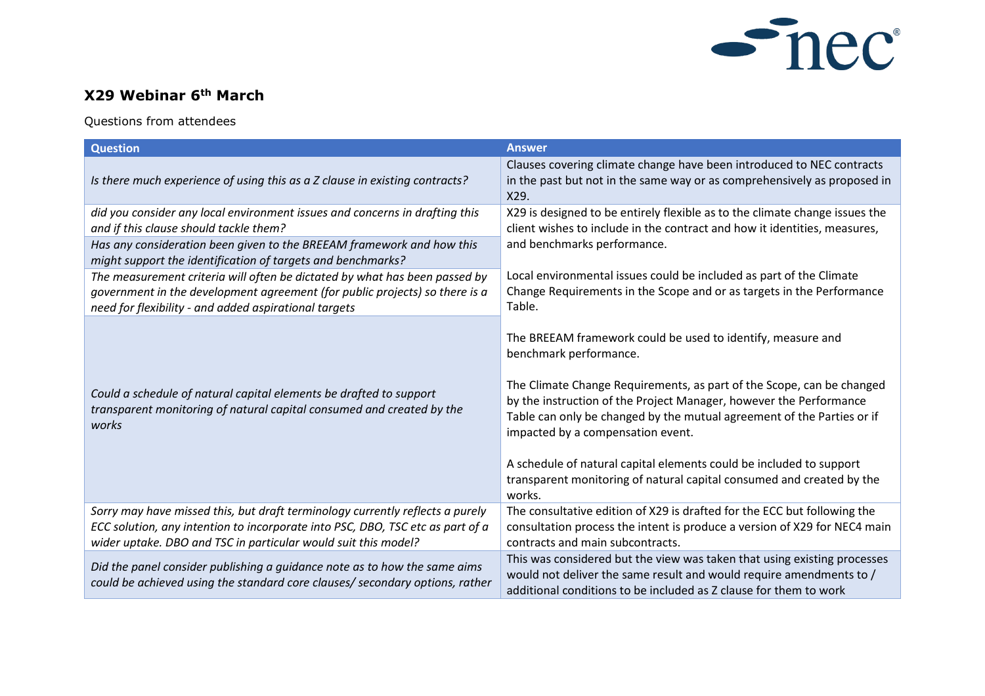

## **X29 Webinar 6th March**

## Questions from attendees

| <b>Question</b>                                                                                                                                                                                                                                                                   | <b>Answer</b>                                                                                                                                                                                                                                                                                                                                                                                                                                                                                                 |
|-----------------------------------------------------------------------------------------------------------------------------------------------------------------------------------------------------------------------------------------------------------------------------------|---------------------------------------------------------------------------------------------------------------------------------------------------------------------------------------------------------------------------------------------------------------------------------------------------------------------------------------------------------------------------------------------------------------------------------------------------------------------------------------------------------------|
| Is there much experience of using this as a Z clause in existing contracts?                                                                                                                                                                                                       | Clauses covering climate change have been introduced to NEC contracts<br>in the past but not in the same way or as comprehensively as proposed in<br>X29.                                                                                                                                                                                                                                                                                                                                                     |
| did you consider any local environment issues and concerns in drafting this<br>and if this clause should tackle them?<br>Has any consideration been given to the BREEAM framework and how this                                                                                    | X29 is designed to be entirely flexible as to the climate change issues the<br>client wishes to include in the contract and how it identities, measures,<br>and benchmarks performance.                                                                                                                                                                                                                                                                                                                       |
| might support the identification of targets and benchmarks?<br>The measurement criteria will often be dictated by what has been passed by<br>government in the development agreement (for public projects) so there is a<br>need for flexibility - and added aspirational targets | Local environmental issues could be included as part of the Climate<br>Change Requirements in the Scope and or as targets in the Performance<br>Table.                                                                                                                                                                                                                                                                                                                                                        |
| Could a schedule of natural capital elements be drafted to support<br>transparent monitoring of natural capital consumed and created by the<br>works                                                                                                                              | The BREEAM framework could be used to identify, measure and<br>benchmark performance.<br>The Climate Change Requirements, as part of the Scope, can be changed<br>by the instruction of the Project Manager, however the Performance<br>Table can only be changed by the mutual agreement of the Parties or if<br>impacted by a compensation event.<br>A schedule of natural capital elements could be included to support<br>transparent monitoring of natural capital consumed and created by the<br>works. |
| Sorry may have missed this, but draft terminology currently reflects a purely<br>ECC solution, any intention to incorporate into PSC, DBO, TSC etc as part of a<br>wider uptake. DBO and TSC in particular would suit this model?                                                 | The consultative edition of X29 is drafted for the ECC but following the<br>consultation process the intent is produce a version of X29 for NEC4 main<br>contracts and main subcontracts.                                                                                                                                                                                                                                                                                                                     |
| Did the panel consider publishing a guidance note as to how the same aims<br>could be achieved using the standard core clauses/ secondary options, rather                                                                                                                         | This was considered but the view was taken that using existing processes<br>would not deliver the same result and would require amendments to /<br>additional conditions to be included as Z clause for them to work                                                                                                                                                                                                                                                                                          |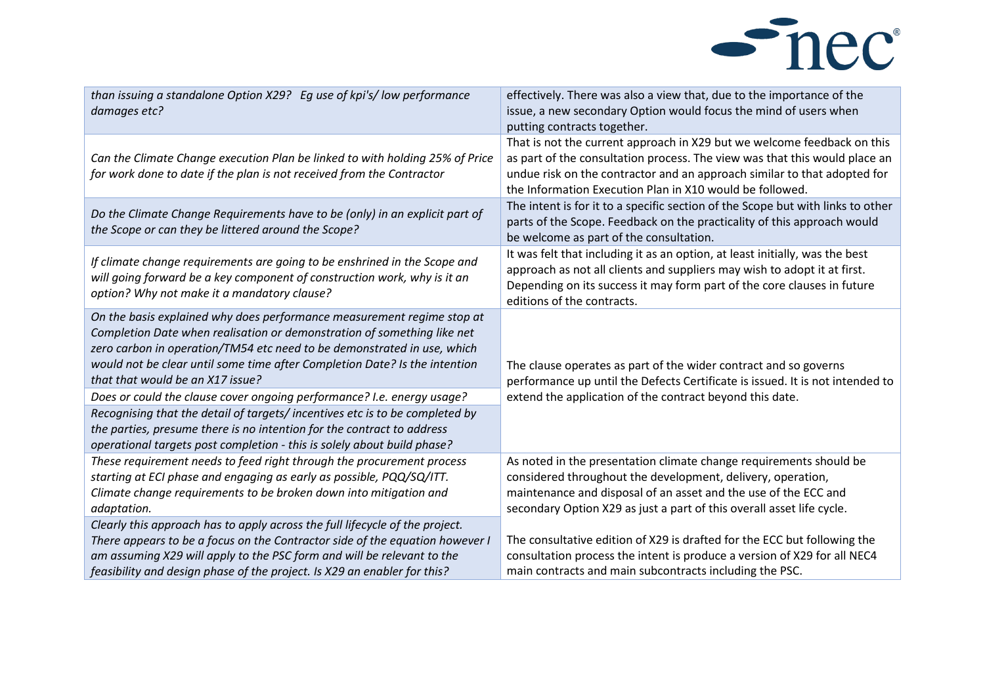

| than issuing a standalone Option X29? Eg use of kpi's/low performance<br>damages etc?                                                                                                                                                                                                                                                          | effectively. There was also a view that, due to the importance of the<br>issue, a new secondary Option would focus the mind of users when<br>putting contracts together.                                                                                                                      |
|------------------------------------------------------------------------------------------------------------------------------------------------------------------------------------------------------------------------------------------------------------------------------------------------------------------------------------------------|-----------------------------------------------------------------------------------------------------------------------------------------------------------------------------------------------------------------------------------------------------------------------------------------------|
| Can the Climate Change execution Plan be linked to with holding 25% of Price<br>for work done to date if the plan is not received from the Contractor                                                                                                                                                                                          | That is not the current approach in X29 but we welcome feedback on this<br>as part of the consultation process. The view was that this would place an<br>undue risk on the contractor and an approach similar to that adopted for<br>the Information Execution Plan in X10 would be followed. |
| Do the Climate Change Requirements have to be (only) in an explicit part of<br>the Scope or can they be littered around the Scope?                                                                                                                                                                                                             | The intent is for it to a specific section of the Scope but with links to other<br>parts of the Scope. Feedback on the practicality of this approach would<br>be welcome as part of the consultation.                                                                                         |
| If climate change requirements are going to be enshrined in the Scope and<br>will going forward be a key component of construction work, why is it an<br>option? Why not make it a mandatory clause?                                                                                                                                           | It was felt that including it as an option, at least initially, was the best<br>approach as not all clients and suppliers may wish to adopt it at first.<br>Depending on its success it may form part of the core clauses in future<br>editions of the contracts.                             |
| On the basis explained why does performance measurement regime stop at<br>Completion Date when realisation or demonstration of something like net<br>zero carbon in operation/TM54 etc need to be demonstrated in use, which<br>would not be clear until some time after Completion Date? Is the intention<br>that that would be an X17 issue? | The clause operates as part of the wider contract and so governs<br>performance up until the Defects Certificate is issued. It is not intended to                                                                                                                                             |
| Does or could the clause cover ongoing performance? I.e. energy usage?<br>Recognising that the detail of targets/incentives etc is to be completed by<br>the parties, presume there is no intention for the contract to address<br>operational targets post completion - this is solely about build phase?                                     | extend the application of the contract beyond this date.                                                                                                                                                                                                                                      |
| These requirement needs to feed right through the procurement process<br>starting at ECI phase and engaging as early as possible, PQQ/SQ/ITT.<br>Climate change requirements to be broken down into mitigation and<br>adaptation.                                                                                                              | As noted in the presentation climate change requirements should be<br>considered throughout the development, delivery, operation,<br>maintenance and disposal of an asset and the use of the ECC and<br>secondary Option X29 as just a part of this overall asset life cycle.                 |
| Clearly this approach has to apply across the full lifecycle of the project.<br>There appears to be a focus on the Contractor side of the equation however I<br>am assuming X29 will apply to the PSC form and will be relevant to the<br>feasibility and design phase of the project. Is X29 an enabler for this?                             | The consultative edition of X29 is drafted for the ECC but following the<br>consultation process the intent is produce a version of X29 for all NEC4<br>main contracts and main subcontracts including the PSC.                                                                               |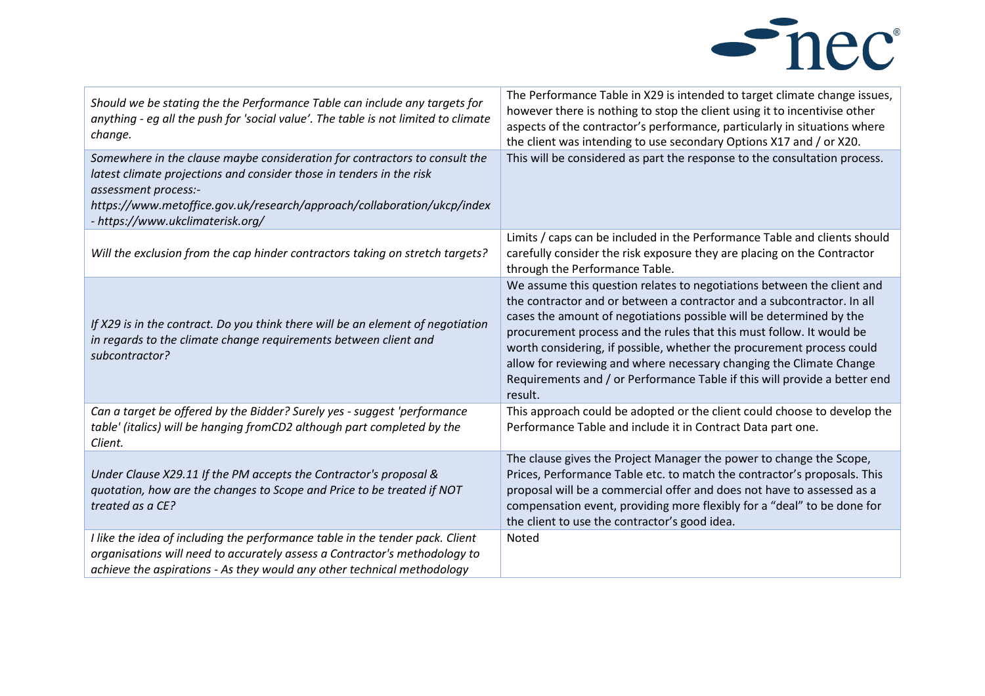

| Should we be stating the the Performance Table can include any targets for<br>anything - eg all the push for 'social value'. The table is not limited to climate<br>change.                                                                                                               | The Performance Table in X29 is intended to target climate change issues,<br>however there is nothing to stop the client using it to incentivise other<br>aspects of the contractor's performance, particularly in situations where<br>the client was intending to use secondary Options X17 and / or X20.                                                                                                                                                                                                                              |
|-------------------------------------------------------------------------------------------------------------------------------------------------------------------------------------------------------------------------------------------------------------------------------------------|-----------------------------------------------------------------------------------------------------------------------------------------------------------------------------------------------------------------------------------------------------------------------------------------------------------------------------------------------------------------------------------------------------------------------------------------------------------------------------------------------------------------------------------------|
| Somewhere in the clause maybe consideration for contractors to consult the<br>latest climate projections and consider those in tenders in the risk<br>assessment process:-<br>https://www.metoffice.gov.uk/research/approach/collaboration/ukcp/index<br>- https://www.ukclimaterisk.org/ | This will be considered as part the response to the consultation process.                                                                                                                                                                                                                                                                                                                                                                                                                                                               |
| Will the exclusion from the cap hinder contractors taking on stretch targets?                                                                                                                                                                                                             | Limits / caps can be included in the Performance Table and clients should<br>carefully consider the risk exposure they are placing on the Contractor<br>through the Performance Table.                                                                                                                                                                                                                                                                                                                                                  |
| If X29 is in the contract. Do you think there will be an element of negotiation<br>in regards to the climate change requirements between client and<br>subcontractor?                                                                                                                     | We assume this question relates to negotiations between the client and<br>the contractor and or between a contractor and a subcontractor. In all<br>cases the amount of negotiations possible will be determined by the<br>procurement process and the rules that this must follow. It would be<br>worth considering, if possible, whether the procurement process could<br>allow for reviewing and where necessary changing the Climate Change<br>Requirements and / or Performance Table if this will provide a better end<br>result. |
| Can a target be offered by the Bidder? Surely yes - suggest 'performance<br>table' (italics) will be hanging fromCD2 although part completed by the<br>Client.                                                                                                                            | This approach could be adopted or the client could choose to develop the<br>Performance Table and include it in Contract Data part one.                                                                                                                                                                                                                                                                                                                                                                                                 |
| Under Clause X29.11 If the PM accepts the Contractor's proposal &<br>quotation, how are the changes to Scope and Price to be treated if NOT<br>treated as a CE?                                                                                                                           | The clause gives the Project Manager the power to change the Scope,<br>Prices, Performance Table etc. to match the contractor's proposals. This<br>proposal will be a commercial offer and does not have to assessed as a<br>compensation event, providing more flexibly for a "deal" to be done for<br>the client to use the contractor's good idea.                                                                                                                                                                                   |
| I like the idea of including the performance table in the tender pack. Client<br>organisations will need to accurately assess a Contractor's methodology to<br>achieve the aspirations - As they would any other technical methodology                                                    | <b>Noted</b>                                                                                                                                                                                                                                                                                                                                                                                                                                                                                                                            |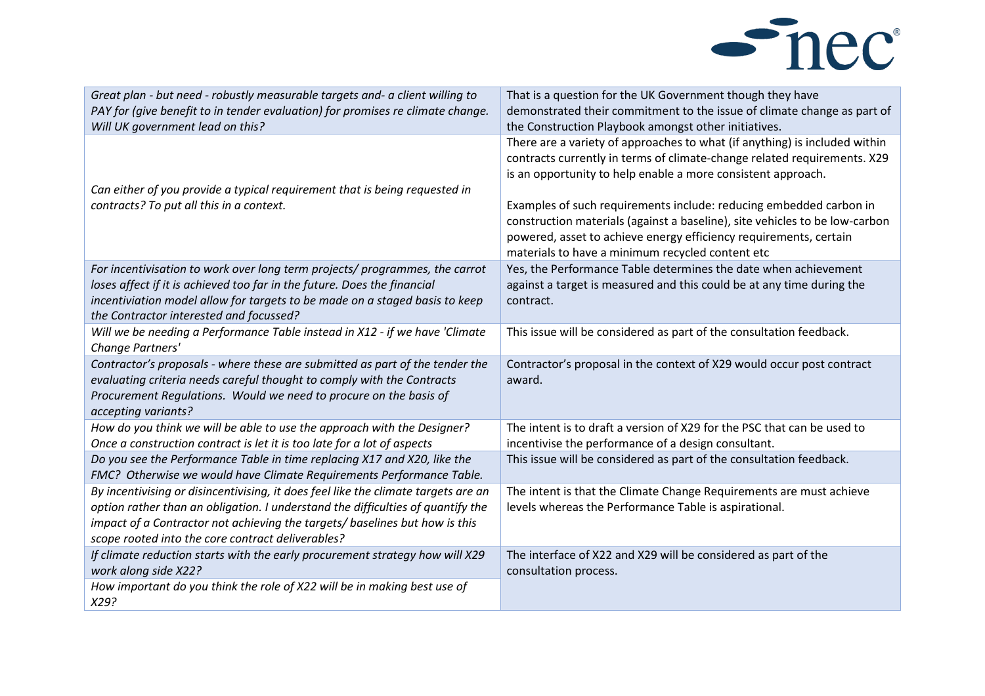

| That is a question for the UK Government though they have<br>demonstrated their commitment to the issue of climate change as part of<br>the Construction Playbook amongst other initiatives.                                                                                                                                                                                                                                                                                                         |
|------------------------------------------------------------------------------------------------------------------------------------------------------------------------------------------------------------------------------------------------------------------------------------------------------------------------------------------------------------------------------------------------------------------------------------------------------------------------------------------------------|
| There are a variety of approaches to what (if anything) is included within<br>contracts currently in terms of climate-change related requirements. X29<br>is an opportunity to help enable a more consistent approach.<br>Examples of such requirements include: reducing embedded carbon in<br>construction materials (against a baseline), site vehicles to be low-carbon<br>powered, asset to achieve energy efficiency requirements, certain<br>materials to have a minimum recycled content etc |
| Yes, the Performance Table determines the date when achievement<br>against a target is measured and this could be at any time during the<br>contract.                                                                                                                                                                                                                                                                                                                                                |
| This issue will be considered as part of the consultation feedback.                                                                                                                                                                                                                                                                                                                                                                                                                                  |
| Contractor's proposal in the context of X29 would occur post contract<br>award.                                                                                                                                                                                                                                                                                                                                                                                                                      |
| The intent is to draft a version of X29 for the PSC that can be used to<br>incentivise the performance of a design consultant.                                                                                                                                                                                                                                                                                                                                                                       |
| This issue will be considered as part of the consultation feedback.                                                                                                                                                                                                                                                                                                                                                                                                                                  |
| The intent is that the Climate Change Requirements are must achieve<br>levels whereas the Performance Table is aspirational.                                                                                                                                                                                                                                                                                                                                                                         |
| The interface of X22 and X29 will be considered as part of the<br>consultation process.                                                                                                                                                                                                                                                                                                                                                                                                              |
|                                                                                                                                                                                                                                                                                                                                                                                                                                                                                                      |